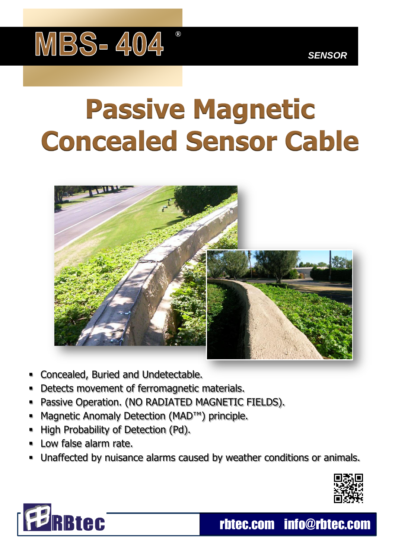

## **Passive Magnetic Concealed Sensor Cable**



- Concealed, Buried and Undetectable.
- Detects movement of ferromagnetic materials.
- Passive Operation. (NO RADIATED MAGNETIC FIELDS).
- Magnetic Anomaly Detection (MAD™) principle.
- High Probability of Detection (Pd).
- Low false alarm rate.
- Unaffected by nuisance alarms caused by weather conditions or animals.





rbtec.com info@rbtec.com